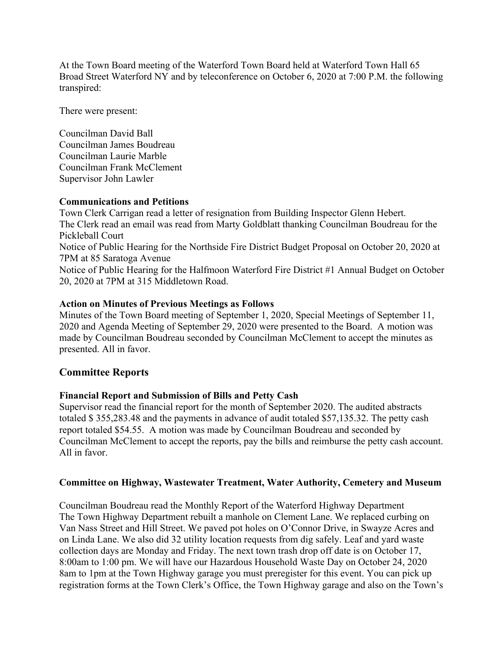At the Town Board meeting of the Waterford Town Board held at Waterford Town Hall 65 Broad Street Waterford NY and by teleconference on October 6, 2020 at 7:00 P.M. the following transpired:

There were present:

Councilman David Ball Councilman James Boudreau Councilman Laurie Marble Councilman Frank McClement Supervisor John Lawler

## **Communications and Petitions**

Town Clerk Carrigan read a letter of resignation from Building Inspector Glenn Hebert. The Clerk read an email was read from Marty Goldblatt thanking Councilman Boudreau for the Pickleball Court Notice of Public Hearing for the Northside Fire District Budget Proposal on October 20, 2020 at 7PM at 85 Saratoga Avenue Notice of Public Hearing for the Halfmoon Waterford Fire District #1 Annual Budget on October 20, 2020 at 7PM at 315 Middletown Road.

## **Action on Minutes of Previous Meetings as Follows**

Minutes of the Town Board meeting of September 1, 2020, Special Meetings of September 11, 2020 and Agenda Meeting of September 29, 2020 were presented to the Board. A motion was made by Councilman Boudreau seconded by Councilman McClement to accept the minutes as presented. All in favor.

## **Committee Reports**

## **Financial Report and Submission of Bills and Petty Cash**

Supervisor read the financial report for the month of September 2020. The audited abstracts totaled \$ 355,283.48 and the payments in advance of audit totaled \$57,135.32. The petty cash report totaled \$54.55. A motion was made by Councilman Boudreau and seconded by Councilman McClement to accept the reports, pay the bills and reimburse the petty cash account. All in favor.

## **Committee on Highway, Wastewater Treatment, Water Authority, Cemetery and Museum**

Councilman Boudreau read the Monthly Report of the Waterford Highway Department The Town Highway Department rebuilt a manhole on Clement Lane. We replaced curbing on Van Nass Street and Hill Street. We paved pot holes on O'Connor Drive, in Swayze Acres and on Linda Lane. We also did 32 utility location requests from dig safely. Leaf and yard waste collection days are Monday and Friday. The next town trash drop off date is on October 17, 8:00am to 1:00 pm. We will have our Hazardous Household Waste Day on October 24, 2020 8am to 1pm at the Town Highway garage you must preregister for this event. You can pick up registration forms at the Town Clerk's Office, the Town Highway garage and also on the Town's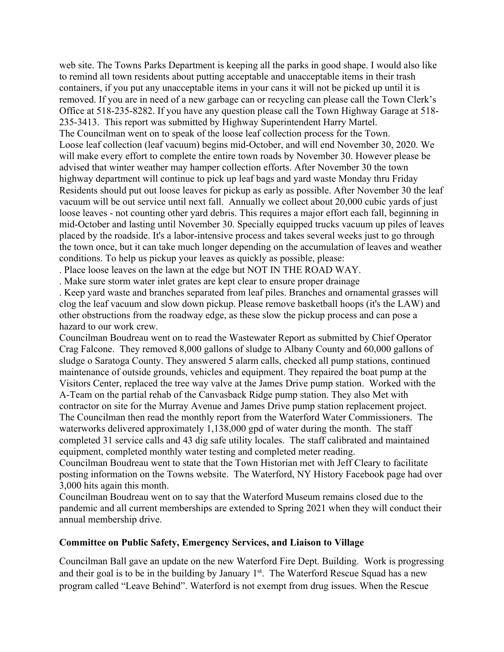web site. The Towns Parks Department is keeping all the parks in good shape. I would also like to remind all town residents about putting acceptable and unacceptable items in their trash containers, if you put any unacceptable items in your cans it will not be picked up until it is removed. If you are in need of a new garbage can or recycling can please call the Town Clerk's Office at 518-235-8282. If you have any question please call the Town Highway Garage at 518- 235-3413. This report was submitted by Highway Superintendent Harry Martel. The Councilman went on to speak of the loose leaf collection process for the Town. Loose leaf collection (leaf vacuum) begins mid-October, and will end November 30, 2020. We will make every effort to complete the entire town roads by November 30. However please be advised that winter weather may hamper collection efforts. After November 30 the town highway department will continue to pick up leaf bags and yard waste Monday thru Friday Residents should put out loose leaves for pickup as early as possible. After November 30 the leaf vacuum will be out service until next fall. Annually we collect about 20,000 cubic yards of just loose leaves - not counting other yard debris. This requires a major effort each fall, beginning in mid-October and lasting until November 30. Specially equipped trucks vacuum up piles of leaves placed by the roadside. It's a labor-intensive process and takes several weeks just to go through the town once, but it can take much longer depending on the accumulation of leaves and weather conditions. To help us pickup your leaves as quickly as possible, please:

. Place loose leaves on the lawn at the edge but NOT IN THE ROAD WAY.

. Make sure storm water inlet grates are kept clear to ensure proper drainage

. Keep yard waste and branches separated from leaf piles. Branches and ornamental grasses will clog the leaf vacuum and slow down pickup. Please remove basketball hoops (it's the LAW) and other obstructions from the roadway edge, as these slow the pickup process and can pose a hazard to our work crew.

Councilman Boudreau went on to read the Wastewater Report as submitted by Chief Operator Crag Falcone. They removed 8,000 gallons of sludge to Albany County and 60,000 gallons of sludge o Saratoga County. They answered 5 alarm calls, checked all pump stations, continued maintenance of outside grounds, vehicles and equipment. They repaired the boat pump at the Visitors Center, replaced the tree way valve at the James Drive pump station. Worked with the A-Team on the partial rehab of the Canvasback Ridge pump station. They also Met with contractor on site for the Murray Avenue and James Drive pump station replacement project. The Councilman then read the monthly report from the Waterford Water Commissioners. The waterworks delivered approximately 1,138,000 gpd of water during the month. The staff completed 31 service calls and 43 dig safe utility locales. The staff calibrated and maintained equipment, completed monthly water testing and completed meter reading.

Councilman Boudreau went to state that the Town Historian met with Jeff Cleary to facilitate posting information on the Towns website. The Waterford, NY History Facebook page had over 3,000 hits again this month.

Councilman Boudreau went on to say that the Waterford Museum remains closed due to the pandemic and all current memberships are extended to Spring 2021 when they will conduct their annual membership drive.

## **Committee on Public Safety, Emergency Services, and Liaison to Village**

Councilman Ball gave an update on the new Waterford Fire Dept. Building. Work is progressing and their goal is to be in the building by January 1st. The Waterford Rescue Squad has a new program called "Leave Behind". Waterford is not exempt from drug issues. When the Rescue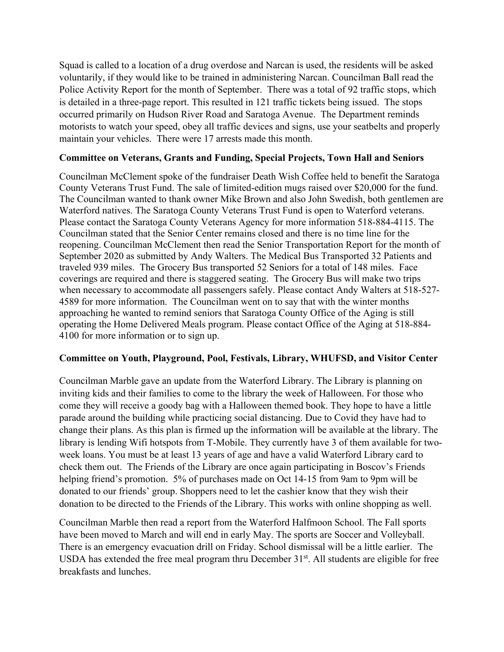Squad is called to a location of a drug overdose and Narcan is used, the residents will be asked voluntarily, if they would like to be trained in administering Narcan. Councilman Ball read the Police Activity Report for the month of September. There was a total of 92 traffic stops, which is detailed in a three-page report. This resulted in 121 traffic tickets being issued. The stops occurred primarily on Hudson River Road and Saratoga Avenue. The Department reminds motorists to watch your speed, obey all traffic devices and signs, use your seatbelts and properly maintain your vehicles. There were 17 arrests made this month.

## **Committee on Veterans, Grants and Funding, Special Projects, Town Hall and Seniors**

Councilman McClement spoke of the fundraiser Death Wish Coffee held to benefit the Saratoga County Veterans Trust Fund. The sale of limited-edition mugs raised over \$20,000 for the fund. The Councilman wanted to thank owner Mike Brown and also John Swedish, both gentlemen are Waterford natives. The Saratoga County Veterans Trust Fund is open to Waterford veterans. Please contact the Saratoga County Veterans Agency for more information 518-884-4115. The Councilman stated that the Senior Center remains closed and there is no time line for the reopening. Councilman McClement then read the Senior Transportation Report for the month of September 2020 as submitted by Andy Walters. The Medical Bus Transported 32 Patients and traveled 939 miles. The Grocery Bus transported 52 Seniors for a total of 148 miles. Face coverings are required and there is staggered seating. The Grocery Bus will make two trips when necessary to accommodate all passengers safely. Please contact Andy Walters at 518-527- 4589 for more information. The Councilman went on to say that with the winter months approaching he wanted to remind seniors that Saratoga County Office of the Aging is still operating the Home Delivered Meals program. Please contact Office of the Aging at 518-884- 4100 for more information or to sign up.

## **Committee on Youth, Playground, Pool, Festivals, Library, WHUFSD, and Visitor Center**

Councilman Marble gave an update from the Waterford Library. The Library is planning on inviting kids and their families to come to the library the week of Halloween. For those who come they will receive a goody bag with a Halloween themed book. They hope to have a little parade around the building while practicing social distancing. Due to Covid they have had to change their plans. As this plan is firmed up the information will be available at the library. The library is lending Wifi hotspots from T-Mobile. They currently have 3 of them available for twoweek loans. You must be at least 13 years of age and have a valid Waterford Library card to check them out. The Friends of the Library are once again participating in Boscov's Friends helping friend's promotion. 5% of purchases made on Oct 14-15 from 9am to 9pm will be donated to our friends' group. Shoppers need to let the cashier know that they wish their donation to be directed to the Friends of the Library. This works with online shopping as well.

Councilman Marble then read a report from the Waterford Halfmoon School. The Fall sports have been moved to March and will end in early May. The sports are Soccer and Volleyball. There is an emergency evacuation drill on Friday. School dismissal will be a little earlier. The USDA has extended the free meal program thru December  $31<sup>st</sup>$ . All students are eligible for free breakfasts and lunches.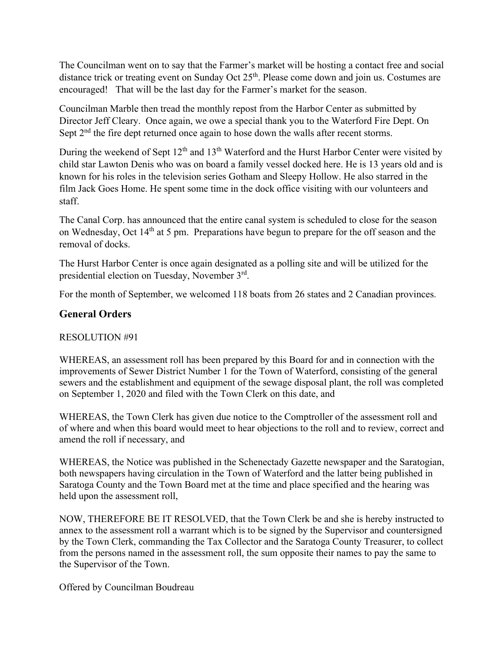The Councilman went on to say that the Farmer's market will be hosting a contact free and social distance trick or treating event on Sunday Oct  $25<sup>th</sup>$ . Please come down and join us. Costumes are encouraged! That will be the last day for the Farmer's market for the season.

Councilman Marble then tread the monthly repost from the Harbor Center as submitted by Director Jeff Cleary. Once again, we owe a special thank you to the Waterford Fire Dept. On Sept 2<sup>nd</sup> the fire dept returned once again to hose down the walls after recent storms.

During the weekend of Sept  $12<sup>th</sup>$  and  $13<sup>th</sup>$  Waterford and the Hurst Harbor Center were visited by child star Lawton Denis who was on board a family vessel docked here. He is 13 years old and is known for his roles in the television series Gotham and Sleepy Hollow. He also starred in the film Jack Goes Home. He spent some time in the dock office visiting with our volunteers and staff.

The Canal Corp. has announced that the entire canal system is scheduled to close for the season on Wednesday, Oct 14th at 5 pm. Preparations have begun to prepare for the off season and the removal of docks.

The Hurst Harbor Center is once again designated as a polling site and will be utilized for the presidential election on Tuesday, November 3rd.

For the month of September, we welcomed 118 boats from 26 states and 2 Canadian provinces.

# **General Orders**

# RESOLUTION #91

WHEREAS, an assessment roll has been prepared by this Board for and in connection with the improvements of Sewer District Number 1 for the Town of Waterford, consisting of the general sewers and the establishment and equipment of the sewage disposal plant, the roll was completed on September 1, 2020 and filed with the Town Clerk on this date, and

WHEREAS, the Town Clerk has given due notice to the Comptroller of the assessment roll and of where and when this board would meet to hear objections to the roll and to review, correct and amend the roll if necessary, and

WHEREAS, the Notice was published in the Schenectady Gazette newspaper and the Saratogian, both newspapers having circulation in the Town of Waterford and the latter being published in Saratoga County and the Town Board met at the time and place specified and the hearing was held upon the assessment roll,

NOW, THEREFORE BE IT RESOLVED, that the Town Clerk be and she is hereby instructed to annex to the assessment roll a warrant which is to be signed by the Supervisor and countersigned by the Town Clerk, commanding the Tax Collector and the Saratoga County Treasurer, to collect from the persons named in the assessment roll, the sum opposite their names to pay the same to the Supervisor of the Town.

Offered by Councilman Boudreau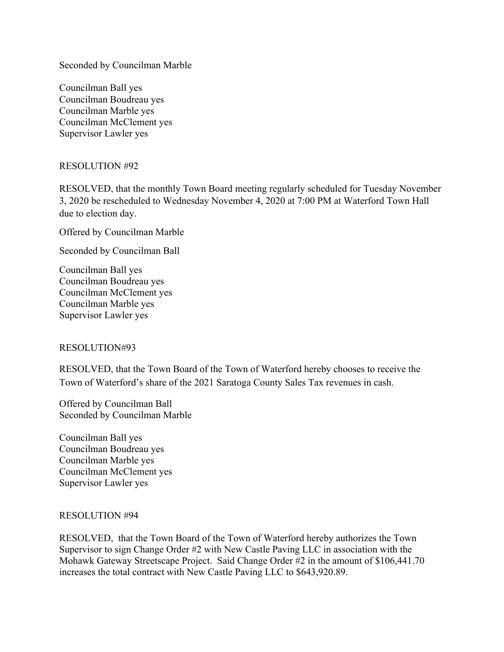Seconded by Councilman Marble

Councilman Ball yes Councilman Boudreau yes Councilman Marble yes Councilman McClement yes Supervisor Lawler yes

RESOLUTION #92

RESOLVED, that the monthly Town Board meeting regularly scheduled for Tuesday November 3, 2020 be rescheduled to Wednesday November 4, 2020 at 7:00 PM at Waterford Town Hall due to election day.

Offered by Councilman Marble

Seconded by Councilman Ball

Councilman Ball yes Councilman Boudreau yes Councilman McClement yes Councilman Marble yes Supervisor Lawler yes

#### RESOLUTION#93

RESOLVED, that the Town Board of the Town of Waterford hereby chooses to receive the Town of Waterford's share of the 2021 Saratoga County Sales Tax revenues in cash.

Offered by Councilman Ball Seconded by Councilman Marble

Councilman Ball yes Councilman Boudreau yes Councilman Marble yes Councilman McClement yes Supervisor Lawler yes

#### RESOLUTION #94

RESOLVED, that the Town Board of the Town of Waterford hereby authorizes the Town Supervisor to sign Change Order #2 with New Castle Paving LLC in association with the Mohawk Gateway Streetscape Project. Said Change Order #2 in the amount of \$106,441.70 increases the total contract with New Castle Paving LLC to \$643,920.89.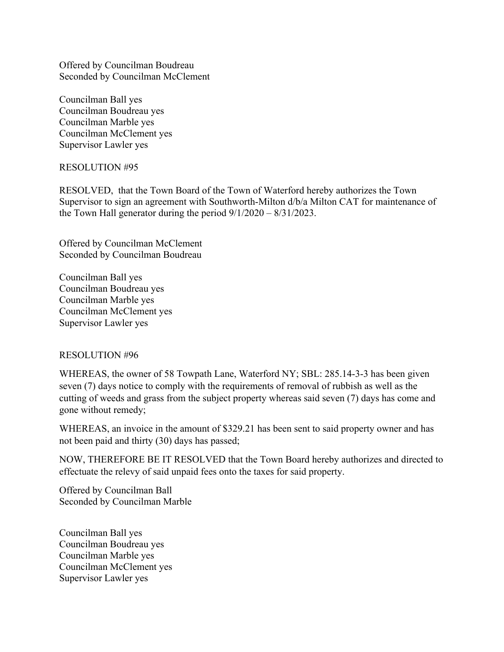Offered by Councilman Boudreau Seconded by Councilman McClement

Councilman Ball yes Councilman Boudreau yes Councilman Marble yes Councilman McClement yes Supervisor Lawler yes

## RESOLUTION #95

RESOLVED, that the Town Board of the Town of Waterford hereby authorizes the Town Supervisor to sign an agreement with Southworth-Milton d/b/a Milton CAT for maintenance of the Town Hall generator during the period 9/1/2020 – 8/31/2023.

Offered by Councilman McClement Seconded by Councilman Boudreau

Councilman Ball yes Councilman Boudreau yes Councilman Marble yes Councilman McClement yes Supervisor Lawler yes

#### RESOLUTION #96

WHEREAS, the owner of 58 Towpath Lane, Waterford NY; SBL: 285.14-3-3 has been given seven (7) days notice to comply with the requirements of removal of rubbish as well as the cutting of weeds and grass from the subject property whereas said seven (7) days has come and gone without remedy;

WHEREAS, an invoice in the amount of \$329.21 has been sent to said property owner and has not been paid and thirty (30) days has passed;

NOW, THEREFORE BE IT RESOLVED that the Town Board hereby authorizes and directed to effectuate the relevy of said unpaid fees onto the taxes for said property.

Offered by Councilman Ball Seconded by Councilman Marble

Councilman Ball yes Councilman Boudreau yes Councilman Marble yes Councilman McClement yes Supervisor Lawler yes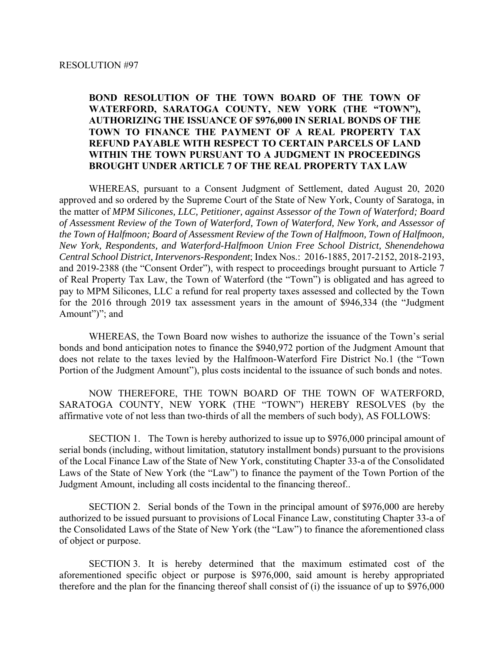### **BOND RESOLUTION OF THE TOWN BOARD OF THE TOWN OF WATERFORD, SARATOGA COUNTY, NEW YORK (THE "TOWN"), AUTHORIZING THE ISSUANCE OF \$976,000 IN SERIAL BONDS OF THE TOWN TO FINANCE THE PAYMENT OF A REAL PROPERTY TAX REFUND PAYABLE WITH RESPECT TO CERTAIN PARCELS OF LAND WITHIN THE TOWN PURSUANT TO A JUDGMENT IN PROCEEDINGS BROUGHT UNDER ARTICLE 7 OF THE REAL PROPERTY TAX LAW**

WHEREAS, pursuant to a Consent Judgment of Settlement, dated August 20, 2020 approved and so ordered by the Supreme Court of the State of New York, County of Saratoga, in the matter of *MPM Silicones, LLC, Petitioner, against Assessor of the Town of Waterford; Board of Assessment Review of the Town of Waterford, Town of Waterford, New York, and Assessor of the Town of Halfmoon; Board of Assessment Review of the Town of Halfmoon, Town of Halfmoon, New York, Respondents, and Waterford-Halfmoon Union Free School District, Shenendehowa Central School District, Intervenors-Respondent*; Index Nos.: 2016-1885, 2017-2152, 2018-2193, and 2019-2388 (the "Consent Order"), with respect to proceedings brought pursuant to Article 7 of Real Property Tax Law, the Town of Waterford (the "Town") is obligated and has agreed to pay to MPM Silicones, LLC a refund for real property taxes assessed and collected by the Town for the 2016 through 2019 tax assessment years in the amount of \$946,334 (the "Judgment Amount")"; and

WHEREAS, the Town Board now wishes to authorize the issuance of the Town's serial bonds and bond anticipation notes to finance the \$940,972 portion of the Judgment Amount that does not relate to the taxes levied by the Halfmoon-Waterford Fire District No.1 (the "Town Portion of the Judgment Amount"), plus costs incidental to the issuance of such bonds and notes.

NOW THEREFORE, THE TOWN BOARD OF THE TOWN OF WATERFORD, SARATOGA COUNTY, NEW YORK (THE "TOWN") HEREBY RESOLVES (by the affirmative vote of not less than two-thirds of all the members of such body), AS FOLLOWS:

SECTION 1. The Town is hereby authorized to issue up to \$976,000 principal amount of serial bonds (including, without limitation, statutory installment bonds) pursuant to the provisions of the Local Finance Law of the State of New York, constituting Chapter 33-a of the Consolidated Laws of the State of New York (the "Law") to finance the payment of the Town Portion of the Judgment Amount, including all costs incidental to the financing thereof..

SECTION 2. Serial bonds of the Town in the principal amount of \$976,000 are hereby authorized to be issued pursuant to provisions of Local Finance Law, constituting Chapter 33-a of the Consolidated Laws of the State of New York (the "Law") to finance the aforementioned class of object or purpose.

SECTION 3. It is hereby determined that the maximum estimated cost of the aforementioned specific object or purpose is \$976,000, said amount is hereby appropriated therefore and the plan for the financing thereof shall consist of (i) the issuance of up to \$976,000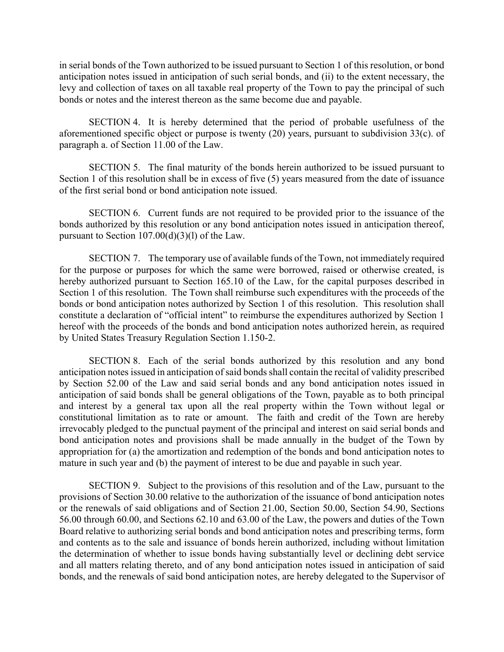in serial bonds of the Town authorized to be issued pursuant to Section 1 of this resolution, or bond anticipation notes issued in anticipation of such serial bonds, and (ii) to the extent necessary, the levy and collection of taxes on all taxable real property of the Town to pay the principal of such bonds or notes and the interest thereon as the same become due and payable.

SECTION 4. It is hereby determined that the period of probable usefulness of the aforementioned specific object or purpose is twenty (20) years, pursuant to subdivision 33(c). of paragraph a. of Section 11.00 of the Law.

SECTION 5. The final maturity of the bonds herein authorized to be issued pursuant to Section 1 of this resolution shall be in excess of five (5) years measured from the date of issuance of the first serial bond or bond anticipation note issued.

SECTION 6. Current funds are not required to be provided prior to the issuance of the bonds authorized by this resolution or any bond anticipation notes issued in anticipation thereof, pursuant to Section 107.00(d)(3)(l) of the Law.

SECTION 7. The temporary use of available funds of the Town, not immediately required for the purpose or purposes for which the same were borrowed, raised or otherwise created, is hereby authorized pursuant to Section 165.10 of the Law, for the capital purposes described in Section 1 of this resolution. The Town shall reimburse such expenditures with the proceeds of the bonds or bond anticipation notes authorized by Section 1 of this resolution. This resolution shall constitute a declaration of "official intent" to reimburse the expenditures authorized by Section 1 hereof with the proceeds of the bonds and bond anticipation notes authorized herein, as required by United States Treasury Regulation Section 1.150-2.

SECTION 8. Each of the serial bonds authorized by this resolution and any bond anticipation notes issued in anticipation of said bonds shall contain the recital of validity prescribed by Section 52.00 of the Law and said serial bonds and any bond anticipation notes issued in anticipation of said bonds shall be general obligations of the Town, payable as to both principal and interest by a general tax upon all the real property within the Town without legal or constitutional limitation as to rate or amount. The faith and credit of the Town are hereby irrevocably pledged to the punctual payment of the principal and interest on said serial bonds and bond anticipation notes and provisions shall be made annually in the budget of the Town by appropriation for (a) the amortization and redemption of the bonds and bond anticipation notes to mature in such year and (b) the payment of interest to be due and payable in such year.

SECTION 9. Subject to the provisions of this resolution and of the Law, pursuant to the provisions of Section 30.00 relative to the authorization of the issuance of bond anticipation notes or the renewals of said obligations and of Section 21.00, Section 50.00, Section 54.90, Sections 56.00 through 60.00, and Sections 62.10 and 63.00 of the Law, the powers and duties of the Town Board relative to authorizing serial bonds and bond anticipation notes and prescribing terms, form and contents as to the sale and issuance of bonds herein authorized, including without limitation the determination of whether to issue bonds having substantially level or declining debt service and all matters relating thereto, and of any bond anticipation notes issued in anticipation of said bonds, and the renewals of said bond anticipation notes, are hereby delegated to the Supervisor of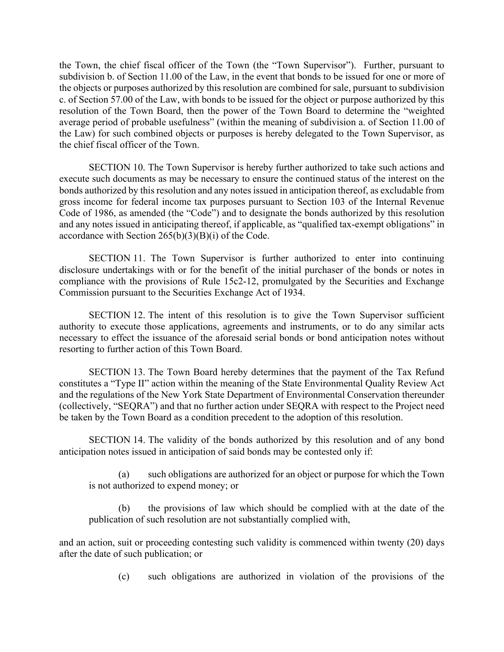the Town, the chief fiscal officer of the Town (the "Town Supervisor"). Further, pursuant to subdivision b. of Section 11.00 of the Law, in the event that bonds to be issued for one or more of the objects or purposes authorized by this resolution are combined for sale, pursuant to subdivision c. of Section 57.00 of the Law, with bonds to be issued for the object or purpose authorized by this resolution of the Town Board, then the power of the Town Board to determine the "weighted average period of probable usefulness" (within the meaning of subdivision a. of Section 11.00 of the Law) for such combined objects or purposes is hereby delegated to the Town Supervisor, as the chief fiscal officer of the Town.

SECTION 10. The Town Supervisor is hereby further authorized to take such actions and execute such documents as may be necessary to ensure the continued status of the interest on the bonds authorized by this resolution and any notes issued in anticipation thereof, as excludable from gross income for federal income tax purposes pursuant to Section 103 of the Internal Revenue Code of 1986, as amended (the "Code") and to designate the bonds authorized by this resolution and any notes issued in anticipating thereof, if applicable, as "qualified tax-exempt obligations" in accordance with Section  $265(b)(3)(B)(i)$  of the Code.

SECTION 11. The Town Supervisor is further authorized to enter into continuing disclosure undertakings with or for the benefit of the initial purchaser of the bonds or notes in compliance with the provisions of Rule 15c2-12, promulgated by the Securities and Exchange Commission pursuant to the Securities Exchange Act of 1934.

SECTION 12. The intent of this resolution is to give the Town Supervisor sufficient authority to execute those applications, agreements and instruments, or to do any similar acts necessary to effect the issuance of the aforesaid serial bonds or bond anticipation notes without resorting to further action of this Town Board.

SECTION 13. The Town Board hereby determines that the payment of the Tax Refund constitutes a "Type II" action within the meaning of the State Environmental Quality Review Act and the regulations of the New York State Department of Environmental Conservation thereunder (collectively, "SEQRA") and that no further action under SEQRA with respect to the Project need be taken by the Town Board as a condition precedent to the adoption of this resolution.

SECTION 14. The validity of the bonds authorized by this resolution and of any bond anticipation notes issued in anticipation of said bonds may be contested only if:

(a) such obligations are authorized for an object or purpose for which the Town is not authorized to expend money; or

(b) the provisions of law which should be complied with at the date of the publication of such resolution are not substantially complied with,

and an action, suit or proceeding contesting such validity is commenced within twenty (20) days after the date of such publication; or

(c) such obligations are authorized in violation of the provisions of the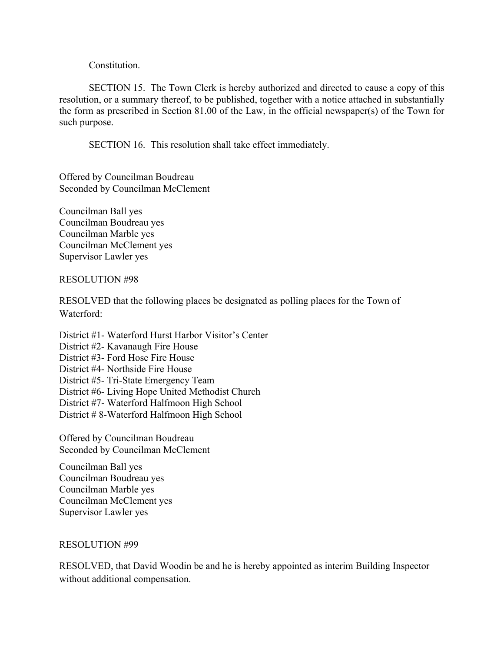Constitution.

SECTION 15. The Town Clerk is hereby authorized and directed to cause a copy of this resolution, or a summary thereof, to be published, together with a notice attached in substantially the form as prescribed in Section 81.00 of the Law, in the official newspaper(s) of the Town for such purpose.

SECTION 16. This resolution shall take effect immediately.

Offered by Councilman Boudreau Seconded by Councilman McClement

Councilman Ball yes Councilman Boudreau yes Councilman Marble yes Councilman McClement yes Supervisor Lawler yes

#### RESOLUTION #98

RESOLVED that the following places be designated as polling places for the Town of Waterford:

District #1- Waterford Hurst Harbor Visitor's Center District #2- Kavanaugh Fire House District #3- Ford Hose Fire House District #4- Northside Fire House District #5- Tri-State Emergency Team District #6- Living Hope United Methodist Church District #7- Waterford Halfmoon High School District # 8-Waterford Halfmoon High School

Offered by Councilman Boudreau Seconded by Councilman McClement

Councilman Ball yes Councilman Boudreau yes Councilman Marble yes Councilman McClement yes Supervisor Lawler yes

## RESOLUTION #99

RESOLVED, that David Woodin be and he is hereby appointed as interim Building Inspector without additional compensation.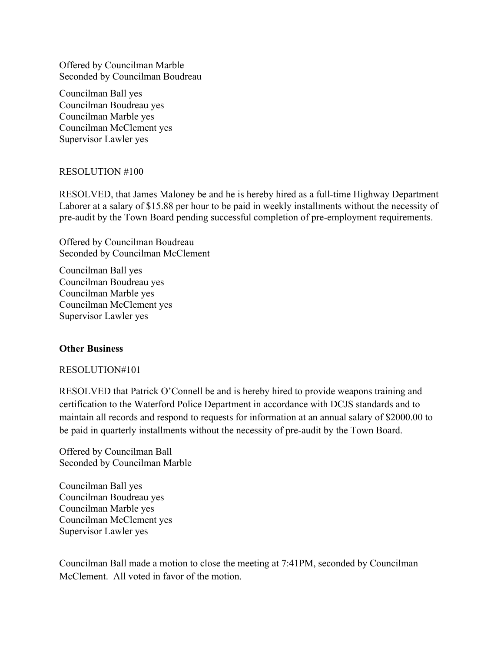Offered by Councilman Marble Seconded by Councilman Boudreau

Councilman Ball yes Councilman Boudreau yes Councilman Marble yes Councilman McClement yes Supervisor Lawler yes

#### RESOLUTION #100

RESOLVED, that James Maloney be and he is hereby hired as a full-time Highway Department Laborer at a salary of \$15.88 per hour to be paid in weekly installments without the necessity of pre-audit by the Town Board pending successful completion of pre-employment requirements.

Offered by Councilman Boudreau Seconded by Councilman McClement

Councilman Ball yes Councilman Boudreau yes Councilman Marble yes Councilman McClement yes Supervisor Lawler yes

#### **Other Business**

#### RESOLUTION#101

RESOLVED that Patrick O'Connell be and is hereby hired to provide weapons training and certification to the Waterford Police Department in accordance with DCJS standards and to maintain all records and respond to requests for information at an annual salary of \$2000.00 to be paid in quarterly installments without the necessity of pre-audit by the Town Board.

Offered by Councilman Ball Seconded by Councilman Marble

Councilman Ball yes Councilman Boudreau yes Councilman Marble yes Councilman McClement yes Supervisor Lawler yes

Councilman Ball made a motion to close the meeting at 7:41PM, seconded by Councilman McClement. All voted in favor of the motion.